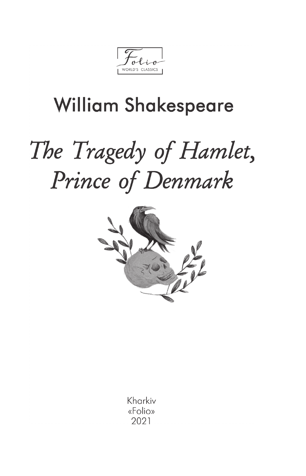WORLD'S CLASSICS

# **William Shakespeare**

# The Tragedy of Hamlet, Prince of Denmark



Kharkiv «Folio» 2021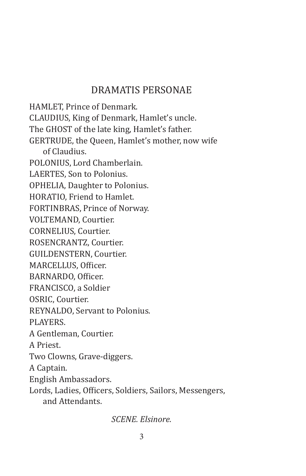### Dramatis Personae

HAMLET, Prince of Denmark. CLAUDIUS, King of Denmark, Hamlet's uncle. The GHOST of the late king, Hamlet's father. GERTRUDE, the Queen, Hamlet's mother, now wife of Claudius. POLONIUS, Lord Chamberlain. LAERTES, Son to Polonius. OPHELIA, Daughter to Polonius. HORATIO, Friend to Hamlet. FORTINBRAS, Prince of Norway. VOLTEMAND, Courtier. CORNELIUS, Courtier. ROSENCRANTZ, Courtier. GUILDENSTERN, Courtier. MARCELLUS, Officer. BARNARDO, Officer. FRANCISCO, a Soldier OSRIC, Courtier. REYNALDO, Servant to Polonius. PLAYERS. A Gentleman, Courtier. A Priest. Two Clowns, Grave-diggers. A Captain. English Ambassadors. Lords, Ladies, Officers, Soldiers, Sailors, Messengers, and Attendants.

*SCENE. Elsinore.*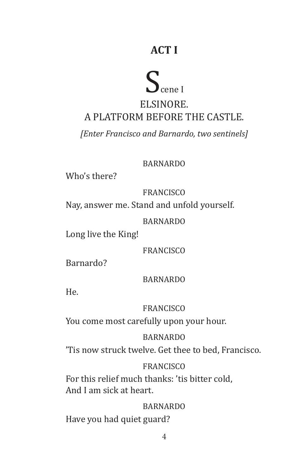# **ACT I**

# $S_{\text{cene I}}$

## Elsinore. A platform before the Castle.

*[Enter Francisco and Barnardo, two sentinels]*

**BARNARDO** 

Who's there?

FRANCISCO

Nay, answer me. Stand and unfold yourself.

BARNARDO

Long live the King!

FRANCISCO

Barnardo?

BARNARDO

He.

FRANCISCO

You come most carefully upon your hour.

BARNARDO

'Tis now struck twelve. Get thee to bed, Francisco.

#### **FRANCISCO**

For this relief much thanks: 'tis bitter cold, And I am sick at heart.

BARNARDO Have you had quiet guard?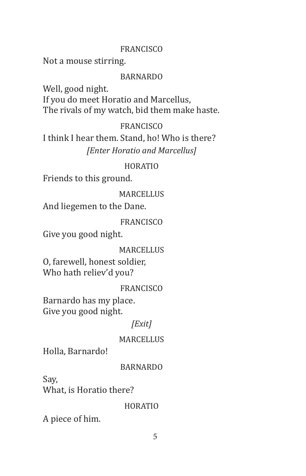#### **FRANCISCO**

Not a mouse stirring.

#### BARNARDO

Well, good night. If you do meet Horatio and Marcellus, The rivals of my watch, bid them make haste.

#### FRANCISCO

I think I hear them. Stand, ho! Who is there? *[Enter Horatio and Marcellus]*

#### HORATIO

Friends to this ground.

#### **MARCELLUS**

And liegemen to the Dane.

#### FRANCISCO

Give you good night.

#### **MARCELLIIS**

O, farewell, honest soldier, Who hath reliev'd you?

#### **FRANCISCO**

Barnardo has my place. Give you good night.

#### *[Exit]*

#### MARCELLUS

Holla, Barnardo!

#### BARNARDO

Say, What, is Horatio there?

#### HORATIO

A piece of him.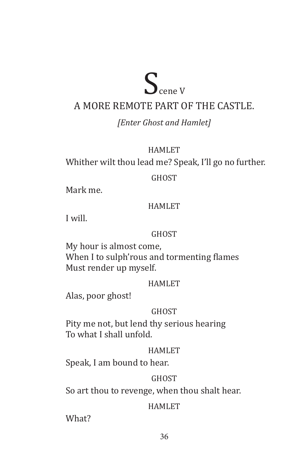# $S_{\text{cene V}}$

### A more remote part of the Castle.

#### *[Enter Ghost and Hamlet]*

#### HAMLET

Whither wilt thou lead me? Speak, I'll go no further.

#### GHOST

Mark me.

#### **HAMLET**

I will.

#### **GHOST**

My hour is almost come, When I to sulph'rous and tormenting flames Must render up myself.

#### HAMLET

Alas, poor ghost!

#### **GHOST**

Pity me not, but lend thy serious hearing To what I shall unfold.

#### HAMLET

Speak, I am bound to hear.

#### **GHOST**

So art thou to revenge, when thou shalt hear.

#### HAMLET

What?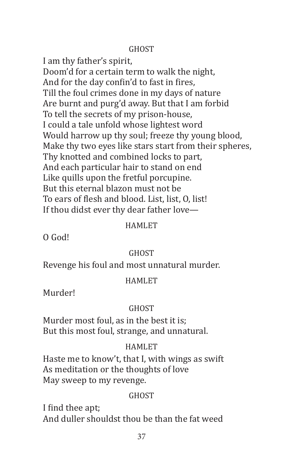#### **GHOST**

I am thy father's spirit, Doom'd for a certain term to walk the night, And for the day confin'd to fast in fires, Till the foul crimes done in my days of nature Are burnt and purg'd away. But that I am forbid To tell the secrets of my prison-house, I could a tale unfold whose lightest word Would harrow up thy soul; freeze thy young blood, Make thy two eyes like stars start from their spheres, Thy knotted and combined locks to part, And each particular hair to stand on end Like quills upon the fretful porcupine. But this eternal blazon must not be To ears of flesh and blood. List, list, O, list! If thou didst ever thy dear father love—

#### HAMLET

O God!

#### **GHOST**

Revenge his foul and most unnatural murder.

#### **HAMLET**

Murder!

#### **GHOST**

Murder most foul, as in the best it is; But this most foul, strange, and unnatural.

#### HAMLET

Haste me to know't, that I, with wings as swift As meditation or the thoughts of love May sweep to my revenge.

#### **GHOST**

I find thee apt; And duller shouldst thou be than the fat weed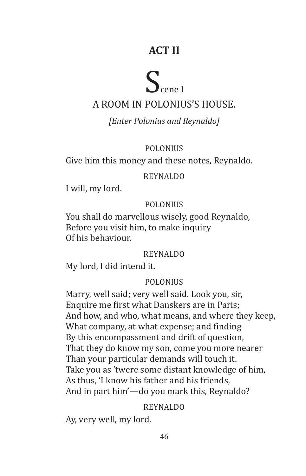# **ACT II**

# $S_{\text{cene I}}$

## A room in Polonius's house.

#### *[Enter Polonius and Reynaldo]*

#### POLONIUS

Give him this money and these notes, Reynaldo.

#### REYNALDO

I will, my lord.

#### POLONIUS

You shall do marvellous wisely, good Reynaldo, Before you visit him, to make inquiry Of his behaviour.

#### REYNALDO

My lord, I did intend it.

#### POLONIUS

Marry, well said; very well said. Look you, sir, Enquire me first what Danskers are in Paris; And how, and who, what means, and where they keep, What company, at what expense; and finding By this encompassment and drift of question, That they do know my son, come you more nearer Than your particular demands will touch it. Take you as 'twere some distant knowledge of him, As thus, 'I know his father and his friends, And in part him'—do you mark this, Reynaldo?

#### REYNALDO

Ay, very well, my lord.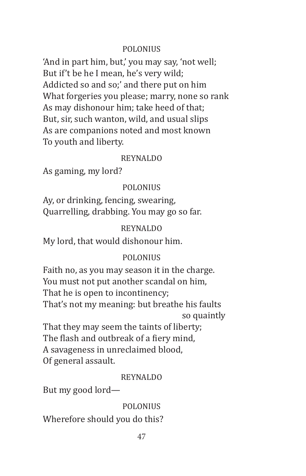#### **POLONIUS**

'And in part him, but,' you may say, 'not well; But if't be he I mean, he's very wild; Addicted so and so;' and there put on him What forgeries you please; marry, none so rank As may dishonour him; take heed of that; But, sir, such wanton, wild, and usual slips As are companions noted and most known To youth and liberty.

#### REYNALDO

As gaming, my lord?

#### POLONIUS

Ay, or drinking, fencing, swearing, Quarrelling, drabbing. You may go so far.

#### REYNALDO

My lord, that would dishonour him.

#### POLONIUS

Faith no, as you may season it in the charge. You must not put another scandal on him, That he is open to incontinency; That's not my meaning: but breathe his faults so quaintly

That they may seem the taints of liberty; The flash and outbreak of a fiery mind, A savageness in unreclaimed blood, Of general assault.

#### REYNALDO

But my good lord—

POLONIUS Wherefore should you do this?